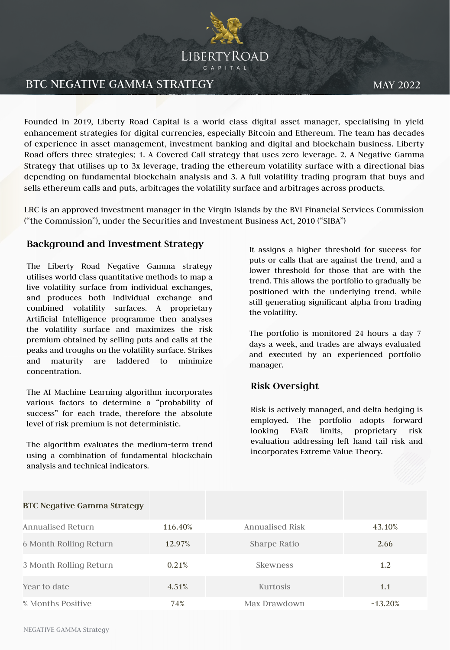

## BTC NEGATIVE GAMMA STRATEGY

MAY 2022

Founded in 2019, Liberty Road Capital is a world class digital asset manager, specialising in yield enhancement strategies for digital currencies, especially Bitcoin and Ethereum. The team has decades of experience in asset management, investment banking and digital and blockchain business. Liberty Road offers three strategies; 1. A Covered Call strategy that uses zero leverage. 2. A Negative Gamma Strategy that utilises up to 3x leverage, trading the ethereum volatility surface with a directional bias depending on fundamental blockchain analysis and 3. A full volatility trading program that buys and sells ethereum calls and puts, arbitrages the volatility surface and arbitrages across products.

LRC is an approved investment manager in the Virgin Islands by the BVI Financial Services Commission ("the Commission"), under the Securities and Investment Business Act, 2010 ("SIBA")

#### **Background and Investment Strategy**

The Liberty Road Negative Gamma strategy utilises world class quantitative methods to map a live volatility surface from individual exchanges, and produces both individual exchange and combined volatility surfaces. A proprietary Artificial Intelligence programme then analyses the volatility surface and maximizes the risk premium obtained by selling puts and calls at the peaks and troughs on the volatility surface. Strikes and maturity are laddered to minimize concentration.

The AI Machine Learning algorithm incorporates various factors to determine a "probability of success" for each trade, therefore the absolute level of risk premium is not deterministic.

The algorithm evaluates the medium-term trend using a combination of fundamental blockchain analysis and technical indicators.

It assigns a higher threshold for success for puts or calls that are against the trend, and a lower threshold for those that are with the trend. This allows the portfolio to gradually be positioned with the underlying trend, while still generating significant alpha from trading the volatility.

The portfolio is monitored 24 hours a day 7 days a week, and trades are always evaluated and executed by an experienced portfolio manager.

### **Risk Oversight**

Risk is actively managed, and delta hedging is employed. The portfolio adopts forward looking EVaR limits, proprietary risk evaluation addressing left hand tail risk and incorporates Extreme Value Theory.

| <b>BTC Negative Gamma Strategy</b> |         |                 |           |
|------------------------------------|---------|-----------------|-----------|
| Annualised Return                  | 116.40% | Annualised Risk | 43.10%    |
| 6 Month Rolling Return             | 12.97%  | Sharpe Ratio    | 2.66      |
| 3 Month Rolling Return             | 0.21%   | <b>Skewness</b> | 1.2       |
| Year to date                       | 4.51%   | Kurtosis        | 1.1       |
| % Months Positive                  | 74%     | Max Drawdown    | $-13.20%$ |